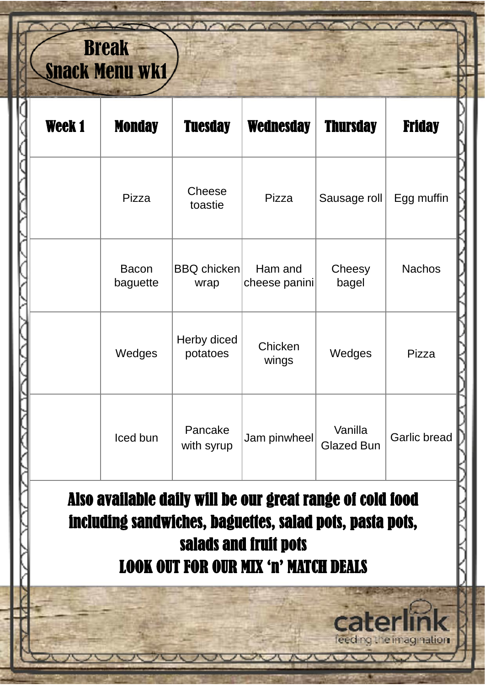## Break Snack Menu wk1

| Week 1 | <b>Monday</b>            | <b>Tuesday</b>             | <b>Wednesday</b>         | <b>Thursday</b>              | <b>Friday</b> |
|--------|--------------------------|----------------------------|--------------------------|------------------------------|---------------|
|        | Pizza                    | Cheese<br>toastie          | Pizza                    | Sausage roll                 | Egg muffin    |
|        | <b>Bacon</b><br>baguette | <b>BBQ</b> chicken<br>wrap | Ham and<br>cheese panini | Cheesy<br>bagel              | <b>Nachos</b> |
|        | Wedges                   | Herby diced<br>potatoes    | Chicken<br>wings         | Wedges                       | Pizza         |
|        | Iced bun                 | Pancake<br>with syrup      | Jam pinwheel             | Vanilla<br><b>Glazed Bun</b> | Garlic bread  |

Also available daily will be our great range of cold food including sandwiches, baguettes, salad pots, pasta pots, salads and fruit pots LOOK OUT FOR OUR MIX 'n' MATCH DEALS

leeding the imagination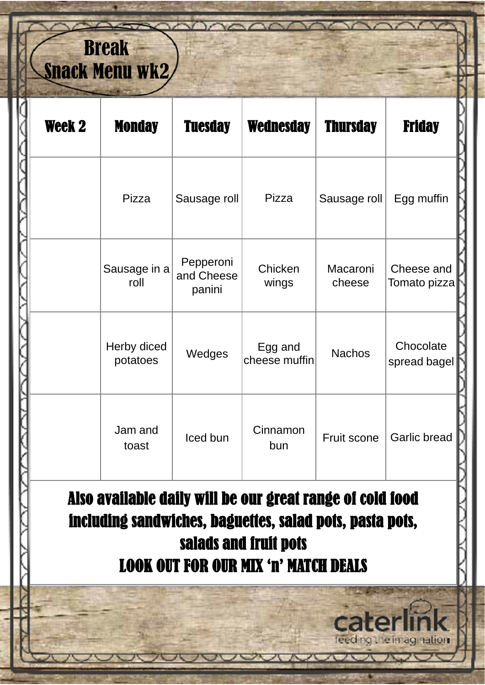## Break Snack Menu wk2

| Week 2 | <b>Monday</b>           | <b>Tuesday</b>                    | <b>Wednesday</b>         | <b>Thursday</b>    | <b>Friday</b>              |
|--------|-------------------------|-----------------------------------|--------------------------|--------------------|----------------------------|
|        | Pizza                   | Sausage roll                      | Pizza                    | Sausage roll       | Egg muffin                 |
|        | Sausage in a<br>roll    | Pepperoni<br>and Cheese<br>panini | Chicken<br>wings         | Macaroni<br>cheese | Cheese and<br>Tomato pizza |
|        | Herby diced<br>potatoes | Wedges                            | Egg and<br>cheese muffin | <b>Nachos</b>      | Chocolate<br>spread bagel  |
|        | Jam and<br>toast        | Iced bun                          | Cinnamon<br>bun          | Fruit scone        | Garlic bread               |

including sandwiches, baguettes, salad pots, pasta pots, salads and fruit pots LOOK OUT FOR OUR MIX 'n' MATCH DEALS

leed

le imagination